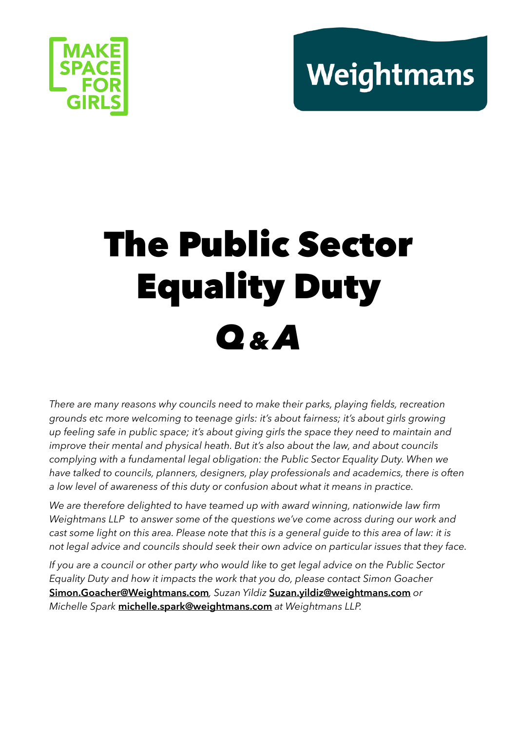# Weightmans



# The Public Sector Equality Duty *Q& A*

*There are many reasons why councils need to make their parks, playing fields, recreation grounds etc more welcoming to teenage girls: it's about fairness; it's about girls growing up feeling safe in public space; it's about giving girls the space they need to maintain and improve their mental and physical heath. But it's also about the law, and about councils complying with a fundamental legal obligation: the Public Sector Equality Duty. When we have talked to councils, planners, designers, play professionals and academics, there is often a low level of awareness of this duty or confusion about what it means in practice.* 

*We are therefore delighted to have teamed up with award winning, nationwide law firm Weightmans LLP to answer some of the questions we've come across during our work and cast some light on this area. Please note that this is a general guide to this area of law: it is not legal advice and councils should seek their own advice on particular issues that they face.*

*If you are a council or other party who would like to get legal advice on the Public Sector Equality Duty and how it impacts the work that you do, please contact Simon Goacher*  **[Simon.Goacher@Weightmans.com](mailto:Simon.Goacher@Weightmans.com)***, Suzan Yildiz* **[Suzan.yildiz@weightmans.com](mailto:Suzan.yildiz@weightmans.com)** *or Michelle Spark* **[michelle.spark@weightmans.com](mailto:michelle.spark@weightmans.com)** *at Weightmans LLP.*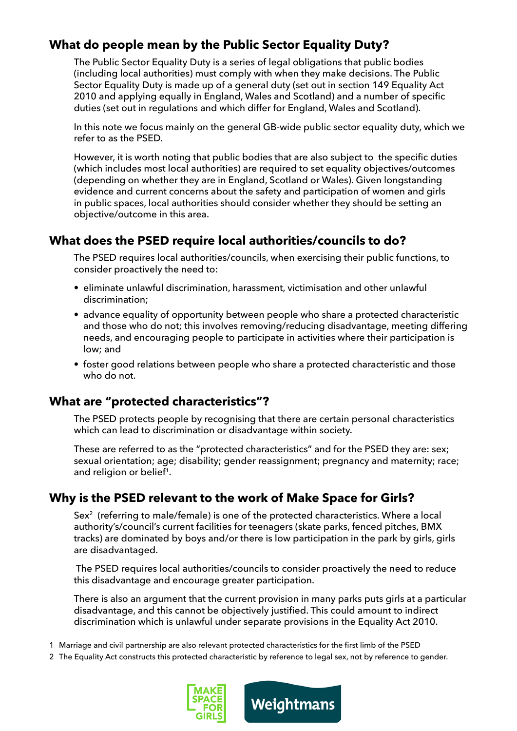# **What do people mean by the Public Sector Equality Duty?**

The Public Sector Equality Duty is a series of legal obligations that public bodies (including local authorities) must comply with when they make decisions. The Public Sector Equality Duty is made up of a general duty (set out in section 149 Equality Act 2010 and applying equally in England, Wales and Scotland) and a number of specific duties (set out in regulations and which differ for England, Wales and Scotland).

In this note we focus mainly on the general GB-wide public sector equality duty, which we refer to as the PSED.

However, it is worth noting that public bodies that are also subject to the specific duties (which includes most local authorities) are required to set equality objectives/outcomes (depending on whether they are in England, Scotland or Wales). Given longstanding evidence and current concerns about the safety and participation of women and girls in public spaces, local authorities should consider whether they should be setting an objective/outcome in this area.

#### **What does the PSED require local authorities/councils to do?**

The PSED requires local authorities/councils, when exercising their public functions, to consider proactively the need to:

- eliminate unlawful discrimination, harassment, victimisation and other unlawful discrimination;
- advance equality of opportunity between people who share a protected characteristic and those who do not; this involves removing/reducing disadvantage, meeting differing needs, and encouraging people to participate in activities where their participation is low; and
- foster good relations between people who share a protected characteristic and those who do not.

# **What are "protected characteristics"?**

The PSED protects people by recognising that there are certain personal characteristics which can lead to discrimination or disadvantage within society.

These are referred to as the "protected characteristics" and for the PSED they are: sex; sexual orientation; age; disability; gender reassignment; pregnancy and maternity; race; and religion or belief<sup>1</sup>.

# **Why is the PSED relevant to the work of Make Space for Girls?**

Sex<sup>2</sup> (referring to male/female) is one of the protected characteristics. Where a local authority's/council's current facilities for teenagers (skate parks, fenced pitches, BMX tracks) are dominated by boys and/or there is low participation in the park by girls, girls are disadvantaged.

 The PSED requires local authorities/councils to consider proactively the need to reduce this disadvantage and encourage greater participation.

There is also an argument that the current provision in many parks puts girls at a particular disadvantage, and this cannot be objectively justified. This could amount to indirect discrimination which is unlawful under separate provisions in the Equality Act 2010.

- 1 Marriage and civil partnership are also relevant protected characteristics for the first limb of the PSED
- 2 The Equality Act constructs this protected characteristic by reference to legal sex, not by reference to gender.



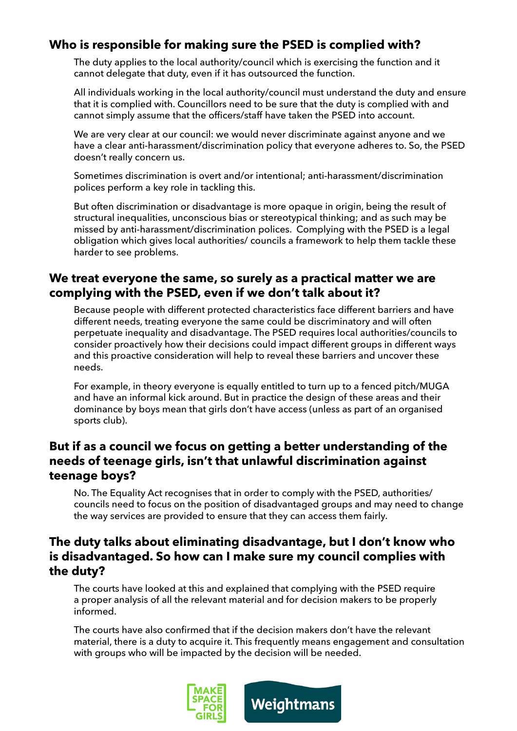# **Who is responsible for making sure the PSED is complied with?**

The duty applies to the local authority/council which is exercising the function and it cannot delegate that duty, even if it has outsourced the function.

All individuals working in the local authority/council must understand the duty and ensure that it is complied with. Councillors need to be sure that the duty is complied with and cannot simply assume that the officers/staff have taken the PSED into account.

We are very clear at our council: we would never discriminate against anyone and we have a clear anti-harassment/discrimination policy that everyone adheres to. So, the PSED doesn't really concern us.

Sometimes discrimination is overt and/or intentional; anti-harassment/discrimination polices perform a key role in tackling this.

But often discrimination or disadvantage is more opaque in origin, being the result of structural inequalities, unconscious bias or stereotypical thinking; and as such may be missed by anti-harassment/discrimination polices. Complying with the PSED is a legal obligation which gives local authorities/ councils a framework to help them tackle these harder to see problems.

#### **We treat everyone the same, so surely as a practical matter we are complying with the PSED, even if we don't talk about it?**

Because people with different protected characteristics face different barriers and have different needs, treating everyone the same could be discriminatory and will often perpetuate inequality and disadvantage. The PSED requires local authorities/councils to consider proactively how their decisions could impact different groups in different ways and this proactive consideration will help to reveal these barriers and uncover these needs.

For example, in theory everyone is equally entitled to turn up to a fenced pitch/MUGA and have an informal kick around. But in practice the design of these areas and their dominance by boys mean that girls don't have access (unless as part of an organised sports club).

#### **But if as a council we focus on getting a better understanding of the needs of teenage girls, isn't that unlawful discrimination against teenage boys?**

No. The Equality Act recognises that in order to comply with the PSED, authorities/ councils need to focus on the position of disadvantaged groups and may need to change the way services are provided to ensure that they can access them fairly.

#### **The duty talks about eliminating disadvantage, but I don't know who is disadvantaged. So how can I make sure my council complies with the duty?**

The courts have looked at this and explained that complying with the PSED require a proper analysis of all the relevant material and for decision makers to be properly informed.

The courts have also confirmed that if the decision makers don't have the relevant material, there is a duty to acquire it. This frequently means engagement and consultation with groups who will be impacted by the decision will be needed.



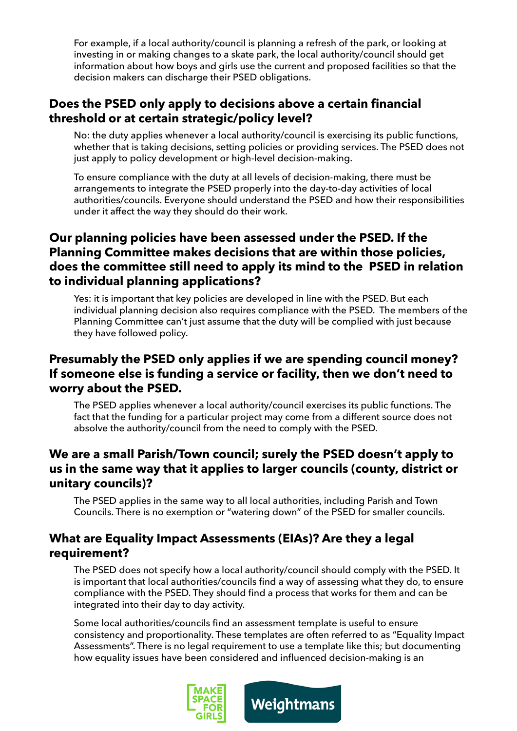For example, if a local authority/council is planning a refresh of the park, or looking at investing in or making changes to a skate park, the local authority/council should get information about how boys and girls use the current and proposed facilities so that the decision makers can discharge their PSED obligations.

#### **Does the PSED only apply to decisions above a certain financial threshold or at certain strategic/policy level?**

No: the duty applies whenever a local authority/council is exercising its public functions, whether that is taking decisions, setting policies or providing services. The PSED does not just apply to policy development or high-level decision-making.

To ensure compliance with the duty at all levels of decision-making, there must be arrangements to integrate the PSED properly into the day-to-day activities of local authorities/councils. Everyone should understand the PSED and how their responsibilities under it affect the way they should do their work.

# **Our planning policies have been assessed under the PSED. If the Planning Committee makes decisions that are within those policies, does the committee still need to apply its mind to the PSED in relation to individual planning applications?**

Yes: it is important that key policies are developed in line with the PSED. But each individual planning decision also requires compliance with the PSED. The members of the Planning Committee can't just assume that the duty will be complied with just because they have followed policy.

#### **Presumably the PSED only applies if we are spending council money? If someone else is funding a service or facility, then we don't need to worry about the PSED.**

The PSED applies whenever a local authority/council exercises its public functions. The fact that the funding for a particular project may come from a different source does not absolve the authority/council from the need to comply with the PSED.

#### **We are a small Parish/Town council; surely the PSED doesn't apply to us in the same way that it applies to larger councils (county, district or unitary councils)?**

The PSED applies in the same way to all local authorities, including Parish and Town Councils. There is no exemption or "watering down" of the PSED for smaller councils.

#### **What are Equality Impact Assessments (EIAs)? Are they a legal requirement?**

The PSED does not specify how a local authority/council should comply with the PSED. It is important that local authorities/councils find a way of assessing what they do, to ensure compliance with the PSED. They should find a process that works for them and can be integrated into their day to day activity.

Some local authorities/councils find an assessment template is useful to ensure consistency and proportionality. These templates are often referred to as "Equality Impact Assessments". There is no legal requirement to use a template like this; but documenting how equality issues have been considered and influenced decision-making is an